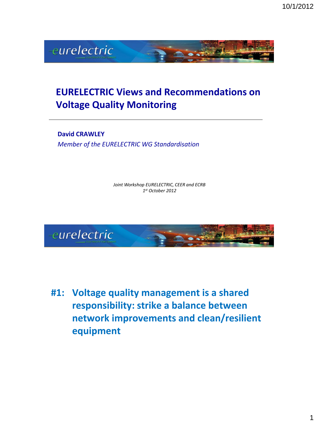

### **EURELECTRIC Views and Recommendations on Voltage Quality Monitoring**

**David CRAWLEY** *Member of the EURELECTRIC WG Standardisation*

> *Joint Workshop EURELECTRIC, CEER and ECRB 1 st October 2012*



**#1: Voltage quality management is a shared responsibility: strike a balance between network improvements and clean/resilient equipment**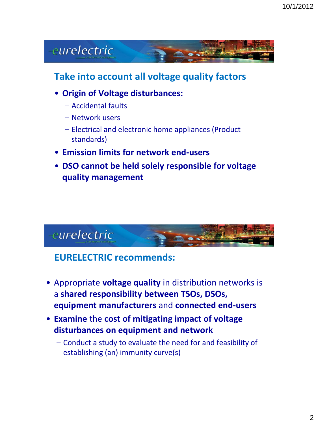

#### **Take into account all voltage quality factors**

- **Origin of Voltage disturbances:** 
	- Accidental faults
	- Network users
	- Electrical and electronic home appliances (Product standards)
- **Emission limits for network end-users**
- **DSO cannot be held solely responsible for voltage quality management**



#### **EURELECTRIC recommends:**

- Appropriate **voltage quality** in distribution networks is a **shared responsibility between TSOs, DSOs, equipment manufacturers** and **connected end-users**
- **Examine** the **cost of mitigating impact of voltage disturbances on equipment and network**
	- Conduct a study to evaluate the need for and feasibility of establishing (an) immunity curve(s)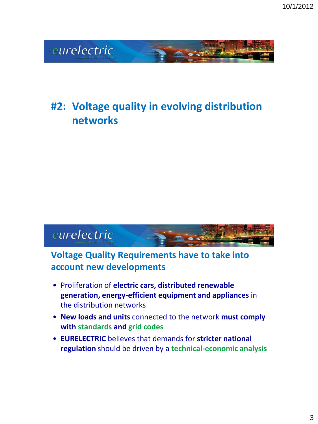

# **#2: Voltage quality in evolving distribution networks**



#### **Voltage Quality Requirements have to take into account new developments**

- Proliferation of **electric cars, distributed renewable generation, energy-efficient equipment and appliances** in the distribution networks
- **New loads and units** connected to the network **must comply with standards and grid codes**
- **EURELECTRIC** believes that demands for **stricter national regulation** should be driven by a **technical-economic analysis**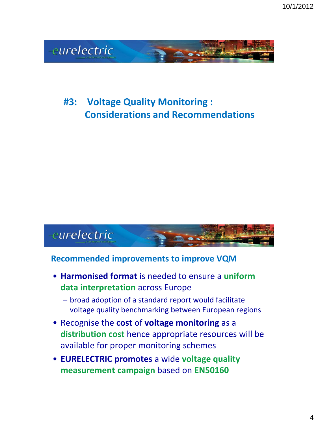

## **#3: Voltage Quality Monitoring : Considerations and Recommendations**



#### **Recommended improvements to improve VQM**

- **Harmonised format** is needed to ensure a **uniform data interpretation** across Europe
	- broad adoption of a standard report would facilitate voltage quality benchmarking between European regions
- Recognise the **cost** of **voltage monitoring** as a **distribution cost** hence appropriate resources will be available for proper monitoring schemes
- **EURELECTRIC promotes** a wide **voltage quality measurement campaign** based on **EN50160**